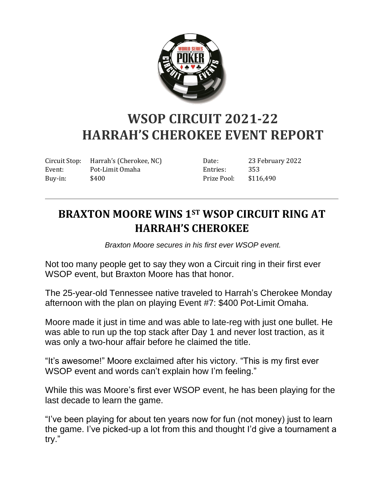

## **WSOP CIRCUIT 2021-22 HARRAH'S CHEROKEE EVENT REPORT**

Circuit Stop: Harrah's (Cherokee, NC) Event: Pot-Limit Omaha Buy-in: \$400

Date: 23 February 2022 Entries: 353 Prize Pool: \$116,490

## **BRAXTON MOORE WINS 1ST WSOP CIRCUIT RING AT HARRAH'S CHEROKEE**

*Braxton Moore secures in his first ever WSOP event.*

Not too many people get to say they won a Circuit ring in their first ever WSOP event, but Braxton Moore has that honor.

The 25-year-old Tennessee native traveled to Harrah's Cherokee Monday afternoon with the plan on playing Event #7: \$400 Pot-Limit Omaha.

Moore made it just in time and was able to late-reg with just one bullet. He was able to run up the top stack after Day 1 and never lost traction, as it was only a two-hour affair before he claimed the title.

"It's awesome!" Moore exclaimed after his victory. "This is my first ever WSOP event and words can't explain how I'm feeling."

While this was Moore's first ever WSOP event, he has been playing for the last decade to learn the game.

"I've been playing for about ten years now for fun (not money) just to learn the game. I've picked-up a lot from this and thought I'd give a tournament a try."